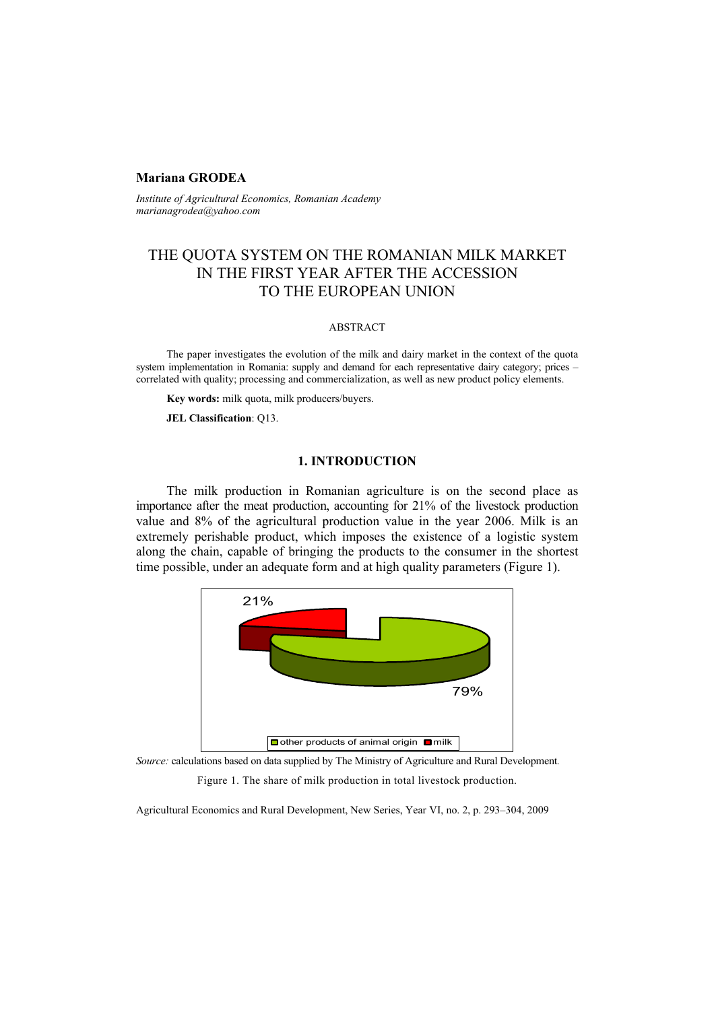### **Mariana GRODEA**

*Institute of Agricultural Economics, Romanian Academy marianagrodea@yahoo.com* 

## THE QUOTA SYSTEM ON THE ROMANIAN MILK MARKET IN THE FIRST YEAR AFTER THE ACCESSION TO THE EUROPEAN UNION

#### ABSTRACT

The paper investigates the evolution of the milk and dairy market in the context of the quota system implementation in Romania: supply and demand for each representative dairy category; prices – correlated with quality; processing and commercialization, as well as new product policy elements.

**Key words:** milk quota, milk producers/buyers.

**JEL Classification**: Q13.

#### **1. INTRODUCTION**

The milk production in Romanian agriculture is on the second place as importance after the meat production, accounting for 21% of the livestock production value and 8% of the agricultural production value in the year 2006. Milk is an extremely perishable product, which imposes the existence of a logistic system along the chain, capable of bringing the products to the consumer in the shortest time possible, under an adequate form and at high quality parameters (Figure 1).



*Source:* calculations based on data supplied by The Ministry of Agriculture and Rural Development*.* 

Figure 1. The share of milk production in total livestock production.

Agricultural Economics and Rural Development, New Series, Year VI, no. 2, p. 293–304, 2009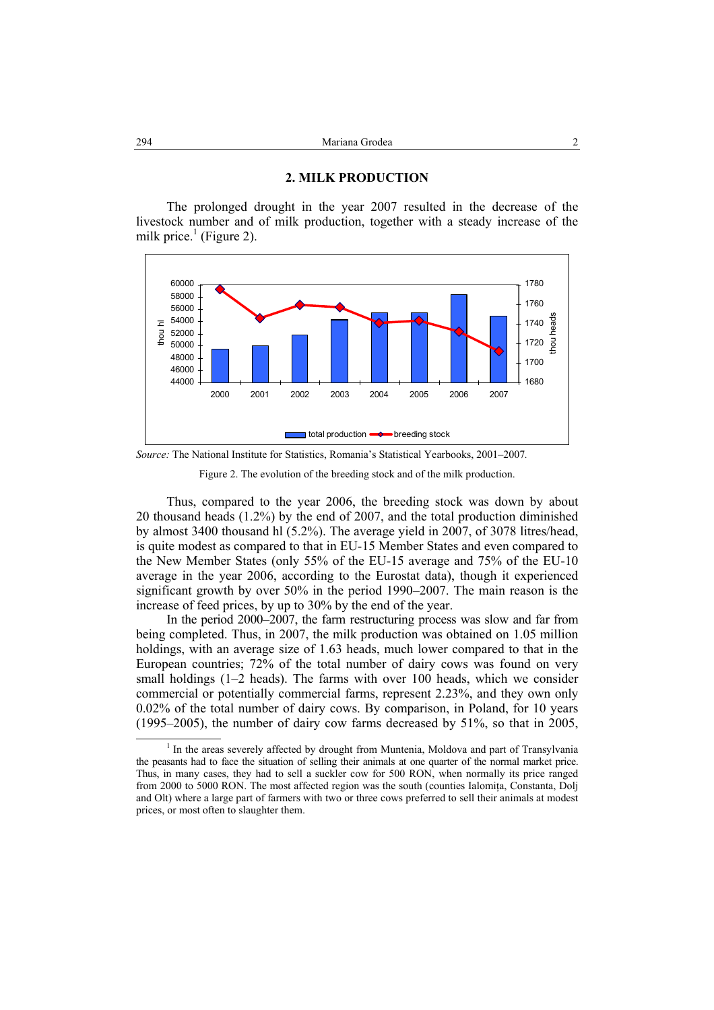# **2. MILK PRODUCTION**

The prolonged drought in the year 2007 resulted in the decrease of the livestock number and of milk production, together with a steady increase of the milk price. $<sup>1</sup>$  (Figure 2).</sup>



*Source:* The National Institute for Statistics, Romania's Statistical Yearbooks, 2001–2007*.* 



Thus, compared to the year 2006, the breeding stock was down by about 20 thousand heads (1.2%) by the end of 2007, and the total production diminished by almost 3400 thousand hl (5.2%). The average yield in 2007, of 3078 litres/head, is quite modest as compared to that in EU-15 Member States and even compared to the New Member States (only 55% of the EU-15 average and 75% of the EU-10 average in the year 2006, according to the Eurostat data), though it experienced significant growth by over 50% in the period 1990–2007. The main reason is the increase of feed prices, by up to 30% by the end of the year.

In the period 2000–2007, the farm restructuring process was slow and far from being completed. Thus, in 2007, the milk production was obtained on 1.05 million holdings, with an average size of 1.63 heads, much lower compared to that in the European countries; 72% of the total number of dairy cows was found on very small holdings  $(1-2$  heads). The farms with over 100 heads, which we consider commercial or potentially commercial farms, represent 2.23%, and they own only 0.02% of the total number of dairy cows. By comparison, in Poland, for 10 years (1995–2005), the number of dairy cow farms decreased by 51%, so that in 2005,

 $\overline{\phantom{a}}$  In the areas severely affected by drought from Muntenia, Moldova and part of Transylvania the peasants had to face the situation of selling their animals at one quarter of the normal market price. Thus, in many cases, they had to sell a suckler cow for 500 RON, when normally its price ranged from 2000 to 5000 RON. The most affected region was the south (counties Ialomita, Constanta, Dolj and Olt) where a large part of farmers with two or three cows preferred to sell their animals at modest prices, or most often to slaughter them.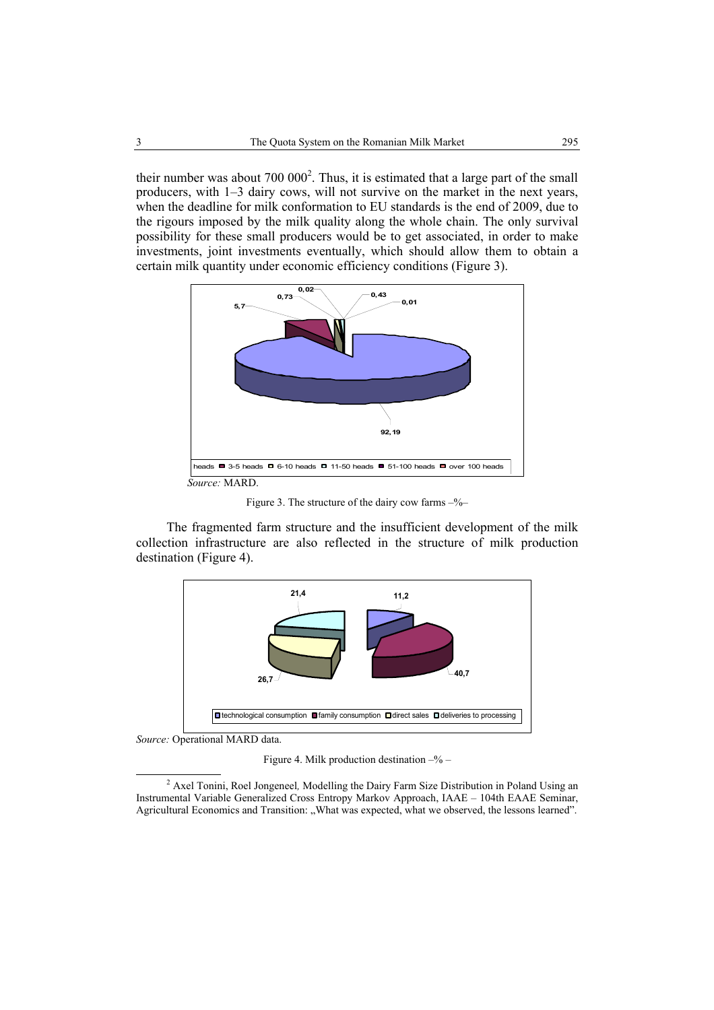their number was about  $700\,000^2$ . Thus, it is estimated that a large part of the small producers, with 1–3 dairy cows, will not survive on the market in the next years, when the deadline for milk conformation to EU standards is the end of 2009, due to the rigours imposed by the milk quality along the whole chain. The only survival possibility for these small producers would be to get associated, in order to make investments, joint investments eventually, which should allow them to obtain a certain milk quantity under economic efficiency conditions (Figure 3).



Figure 3. The structure of the dairy cow farms  $-\frac{6}{6}$ 

The fragmented farm structure and the insufficient development of the milk collection infrastructure are also reflected in the structure of milk production destination (Figure 4).



*Source:* Operational MARD data.

Figure 4. Milk production destination  $-\%$  –

 <sup>2</sup> Axel Tonini, Roel Jongeneel*,* Modelling the Dairy Farm Size Distribution in Poland Using an Instrumental Variable Generalized Cross Entropy Markov Approach, IAAE – 104th EAAE Seminar, Agricultural Economics and Transition: "What was expected, what we observed, the lessons learned".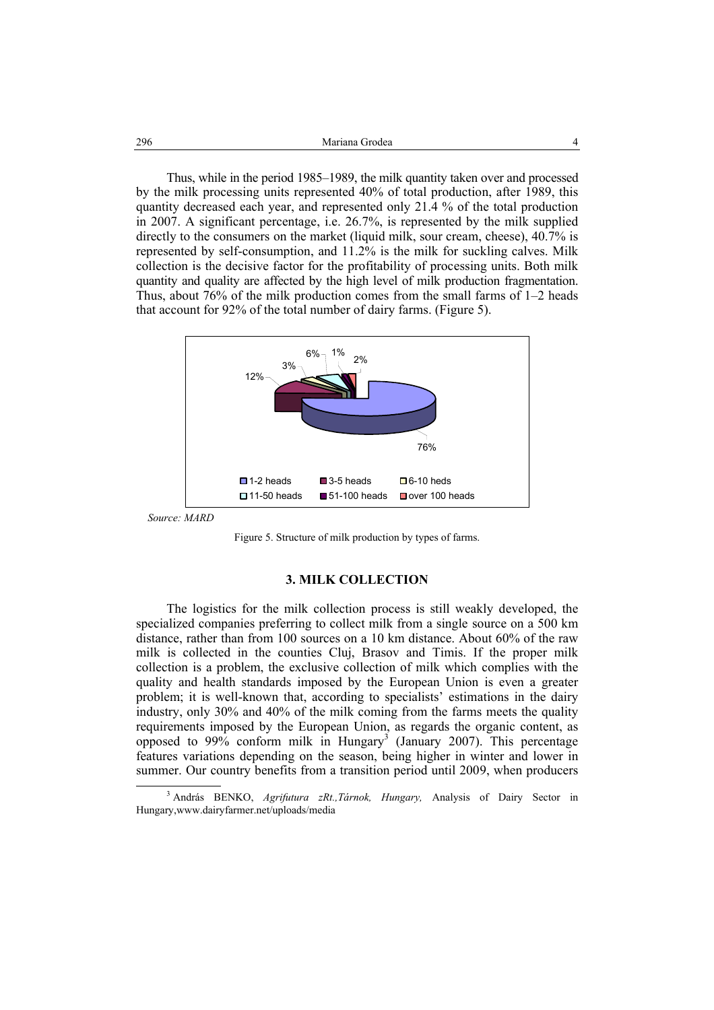Thus, while in the period 1985–1989, the milk quantity taken over and processed by the milk processing units represented 40% of total production, after 1989, this quantity decreased each year, and represented only 21.4 % of the total production in 2007. A significant percentage, i.e. 26.7%, is represented by the milk supplied directly to the consumers on the market (liquid milk, sour cream, cheese), 40.7% is represented by self-consumption, and 11.2% is the milk for suckling calves. Milk collection is the decisive factor for the profitability of processing units. Both milk quantity and quality are affected by the high level of milk production fragmentation. Thus, about 76% of the milk production comes from the small farms of 1–2 heads that account for 92% of the total number of dairy farms. (Figure 5).



*Source: MARD* 



#### **3. MILK COLLECTION**

The logistics for the milk collection process is still weakly developed, the specialized companies preferring to collect milk from a single source on a 500 km distance, rather than from 100 sources on a 10 km distance. About 60% of the raw milk is collected in the counties Cluj, Brasov and Timis. If the proper milk collection is a problem, the exclusive collection of milk which complies with the quality and health standards imposed by the European Union is even a greater problem; it is well-known that, according to specialists' estimations in the dairy industry, only 30% and 40% of the milk coming from the farms meets the quality requirements imposed by the European Union, as regards the organic content, as opposed to 99% conform milk in Hungary<sup>3</sup> (January 2007). This percentage features variations depending on the season, being higher in winter and lower in summer. Our country benefits from a transition period until 2009, when producers

 $\overline{\phantom{a}}$ <sup>3</sup> András BENKO, Agrifutura zRt., Tárnok, Hungary, Analysis of Dairy Sector in Hungary,www.dairyfarmer.net/uploads/media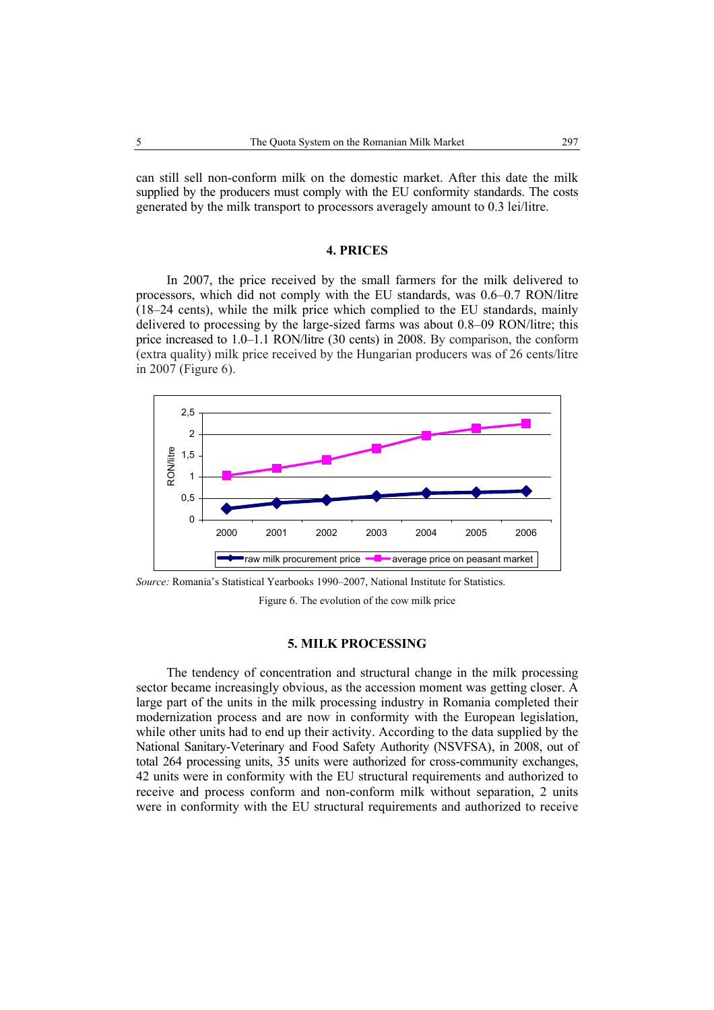can still sell non-conform milk on the domestic market. After this date the milk supplied by the producers must comply with the EU conformity standards. The costs generated by the milk transport to processors averagely amount to 0.3 lei/litre.

## **4. PRICES**

In 2007, the price received by the small farmers for the milk delivered to processors, which did not comply with the EU standards, was 0.6–0.7 RON/litre (18–24 cents), while the milk price which complied to the EU standards, mainly delivered to processing by the large-sized farms was about 0.8–09 RON/litre; this price increased to 1.0–1.1 RON/litre (30 cents) in 2008. By comparison, the conform (extra quality) milk price received by the Hungarian producers was of 26 cents/litre in 2007 (Figure 6).



*Source:* Romania's Statistical Yearbooks 1990–2007, National Institute for Statistics.

Figure 6. The evolution of the cow milk price

#### **5. MILK PROCESSING**

The tendency of concentration and structural change in the milk processing sector became increasingly obvious, as the accession moment was getting closer. A large part of the units in the milk processing industry in Romania completed their modernization process and are now in conformity with the European legislation, while other units had to end up their activity. According to the data supplied by the National Sanitary-Veterinary and Food Safety Authority (NSVFSA), in 2008, out of total 264 processing units, 35 units were authorized for cross-community exchanges, 42 units were in conformity with the EU structural requirements and authorized to receive and process conform and non-conform milk without separation, 2 units were in conformity with the EU structural requirements and authorized to receive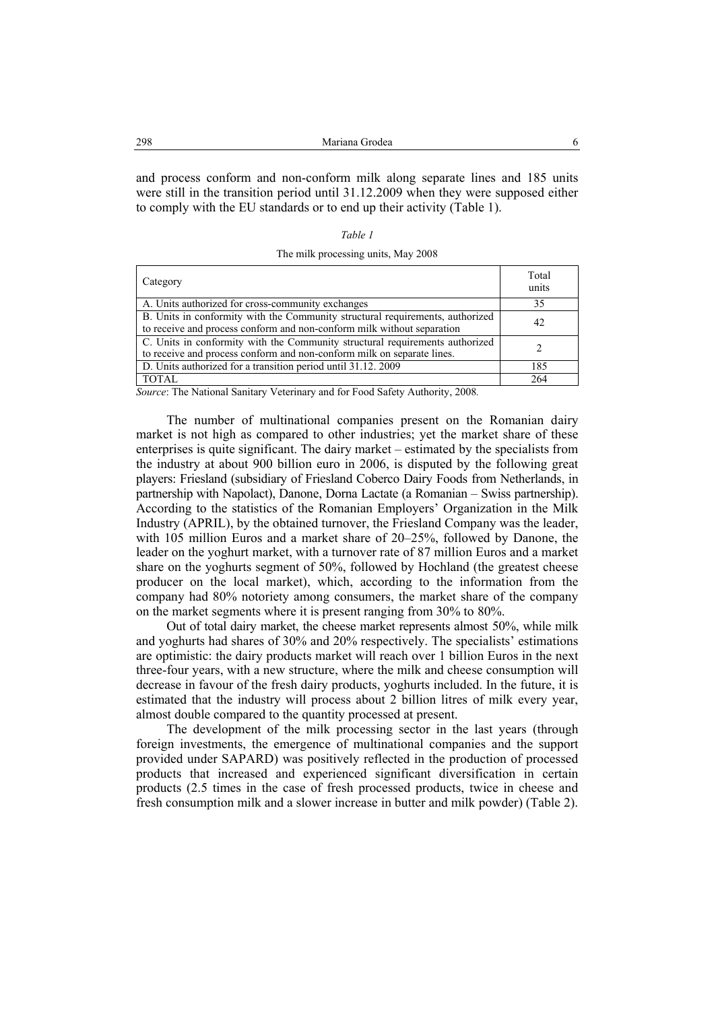and process conform and non-conform milk along separate lines and 185 units were still in the transition period until 31.12.2009 when they were supposed either to comply with the EU standards or to end up their activity (Table 1).

#### *Table 1*

The milk processing units, May 2008

| Category                                                                                                                                                | Total<br>units |
|---------------------------------------------------------------------------------------------------------------------------------------------------------|----------------|
| A. Units authorized for cross-community exchanges                                                                                                       | 35             |
| B. Units in conformity with the Community structural requirements, authorized<br>to receive and process conform and non-conform milk without separation | 42             |
| C. Units in conformity with the Community structural requirements authorized<br>to receive and process conform and non-conform milk on separate lines.  |                |
| D. Units authorized for a transition period until 31.12. 2009                                                                                           | 185            |
| <b>TOTAL</b>                                                                                                                                            | 264            |

*Source*: The National Sanitary Veterinary and for Food Safety Authority, 2008*.* 

The number of multinational companies present on the Romanian dairy market is not high as compared to other industries; yet the market share of these enterprises is quite significant. The dairy market – estimated by the specialists from the industry at about 900 billion euro in 2006, is disputed by the following great players: Friesland (subsidiary of Friesland Coberco Dairy Foods from Netherlands, in partnership with Napolact), Danone, Dorna Lactate (a Romanian – Swiss partnership). According to the statistics of the Romanian Employers' Organization in the Milk Industry (APRIL), by the obtained turnover, the Friesland Company was the leader, with 105 million Euros and a market share of 20–25%, followed by Danone, the leader on the yoghurt market, with a turnover rate of 87 million Euros and a market share on the yoghurts segment of 50%, followed by Hochland (the greatest cheese producer on the local market), which, according to the information from the company had 80% notoriety among consumers, the market share of the company on the market segments where it is present ranging from 30% to 80%.

Out of total dairy market, the cheese market represents almost 50%, while milk and yoghurts had shares of 30% and 20% respectively. The specialists' estimations are optimistic: the dairy products market will reach over 1 billion Euros in the next three-four years, with a new structure, where the milk and cheese consumption will decrease in favour of the fresh dairy products, yoghurts included. In the future, it is estimated that the industry will process about 2 billion litres of milk every year, almost double compared to the quantity processed at present.

The development of the milk processing sector in the last years (through foreign investments, the emergence of multinational companies and the support provided under SAPARD) was positively reflected in the production of processed products that increased and experienced significant diversification in certain products (2.5 times in the case of fresh processed products, twice in cheese and fresh consumption milk and a slower increase in butter and milk powder) (Table 2).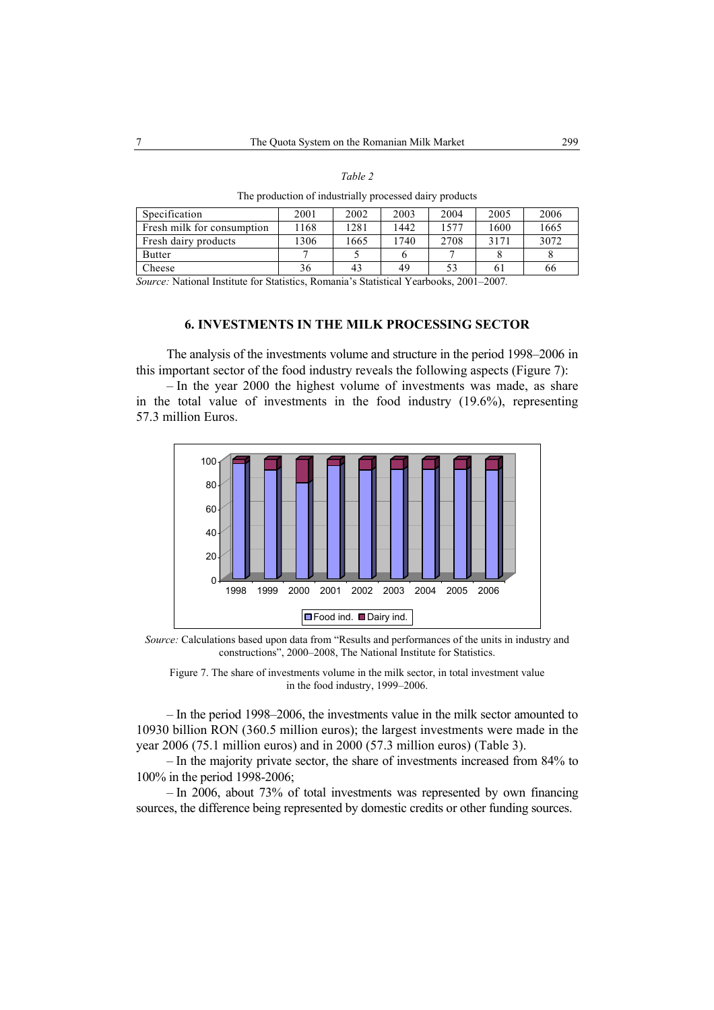#### *Table 2*

The production of industrially processed dairy products

| Specification              | 2001 | 2002 | 2003 | 2004 | 2005 | 2006 |
|----------------------------|------|------|------|------|------|------|
| Fresh milk for consumption | 1168 | 1281 | 1442 | .577 | 1600 | 1665 |
| Fresh dairy products       | 1306 | 665  | 740  | 2708 | 3171 | 3072 |
| <b>Butter</b>              |      |      |      |      |      |      |
| Cheese                     | 36   | 43   | 49   | 53   | 61   | 66   |

*Source:* National Institute for Statistics, Romania's Statistical Yearbooks, 2001–2007*.* 

## **6. INVESTMENTS IN THE MILK PROCESSING SECTOR**

The analysis of the investments volume and structure in the period 1998–2006 in this important sector of the food industry reveals the following aspects (Figure 7):

– In the year 2000 the highest volume of investments was made, as share in the total value of investments in the food industry (19.6%), representing 57.3 million Euros.



*Source:* Calculations based upon data from "Results and performances of the units in industry and constructions", 2000–2008, The National Institute for Statistics.

Figure 7. The share of investments volume in the milk sector, in total investment value in the food industry, 1999–2006.

– In the period 1998–2006, the investments value in the milk sector amounted to 10930 billion RON (360.5 million euros); the largest investments were made in the year 2006 (75.1 million euros) and in 2000 (57.3 million euros) (Table 3).

– In the majority private sector, the share of investments increased from 84% to 100% in the period 1998-2006;

– In 2006, about 73% of total investments was represented by own financing sources, the difference being represented by domestic credits or other funding sources.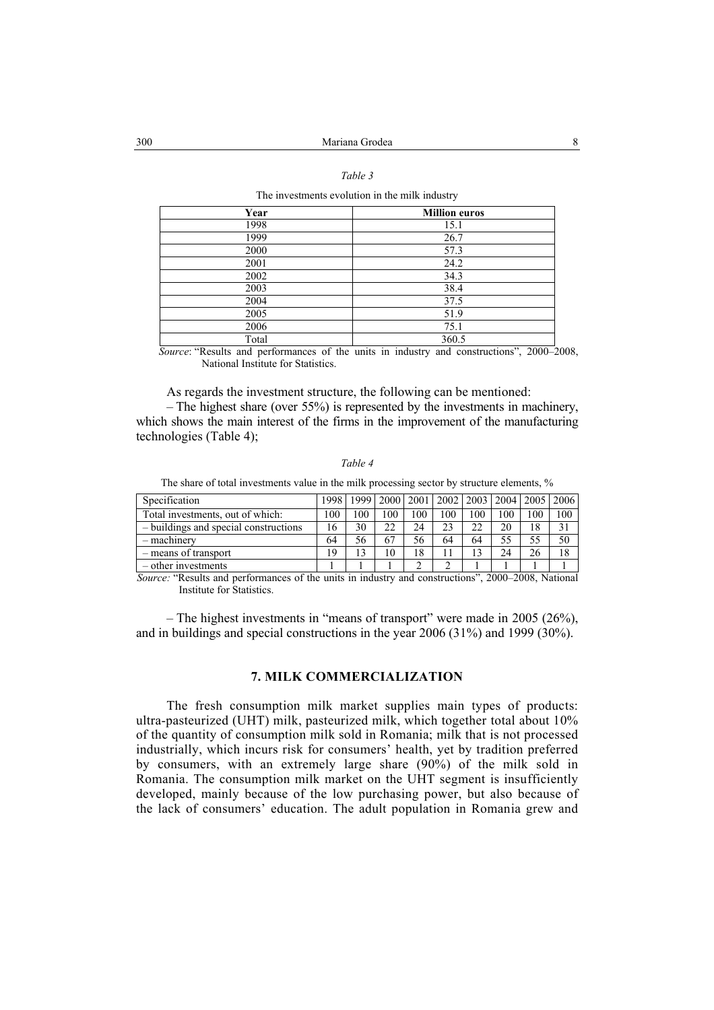#### *Table 3*

The investments evolution in the milk industry

| Year  | <b>Million euros</b> |
|-------|----------------------|
| 1998  | 15.1                 |
| 1999  | 26.7                 |
| 2000  | 57.3                 |
| 2001  | 24.2                 |
| 2002  | 34.3                 |
| 2003  | 38.4                 |
| 2004  | 37.5                 |
| 2005  | 51.9                 |
| 2006  | 75.1                 |
| Total | 360.5                |

*Source*: "Results and performances of the units in industry and constructions", 2000–2008, National Institute for Statistics.

As regards the investment structure, the following can be mentioned:

– The highest share (over 55%) is represented by the investments in machinery, which shows the main interest of the firms in the improvement of the manufacturing technologies (Table 4);

#### *Table 4*

The share of total investments value in the milk processing sector by structure elements, %

| Specification                         |     |     |     |                 | 1998   1999   2000   2001   2002   2003   2004   2005   2006 |     |     |     |     |
|---------------------------------------|-----|-----|-----|-----------------|--------------------------------------------------------------|-----|-----|-----|-----|
| Total investments, out of which:      | 100 | .00 | 100 | $\overline{00}$ | 100                                                          | 100 | 100 | 100 | 100 |
| - buildings and special constructions | 16  | 30  | 22  | 24              | 23                                                           | 22  | 20  | 18  |     |
| $-$ machinery                         | 64  | 56  | 67  | 56              | 64                                                           | 64  | 55  | 55  | 50  |
| - means of transport                  | 19  | 13  | 10  | 18              |                                                              | 13  | 24  | 26  |     |
| – other investments                   |     |     |     |                 |                                                              |     |     |     |     |

*Source:* "Results and performances of the units in industry and constructions", 2000–2008, National Institute for Statistics.

– The highest investments in "means of transport" were made in 2005 (26%), and in buildings and special constructions in the year 2006 (31%) and 1999 (30%).

## **7. MILK COMMERCIALIZATION**

The fresh consumption milk market supplies main types of products: ultra-pasteurized (UHT) milk, pasteurized milk, which together total about 10% of the quantity of consumption milk sold in Romania; milk that is not processed industrially, which incurs risk for consumers' health, yet by tradition preferred by consumers, with an extremely large share (90%) of the milk sold in Romania. The consumption milk market on the UHT segment is insufficiently developed, mainly because of the low purchasing power, but also because of the lack of consumers' education. The adult population in Romania grew and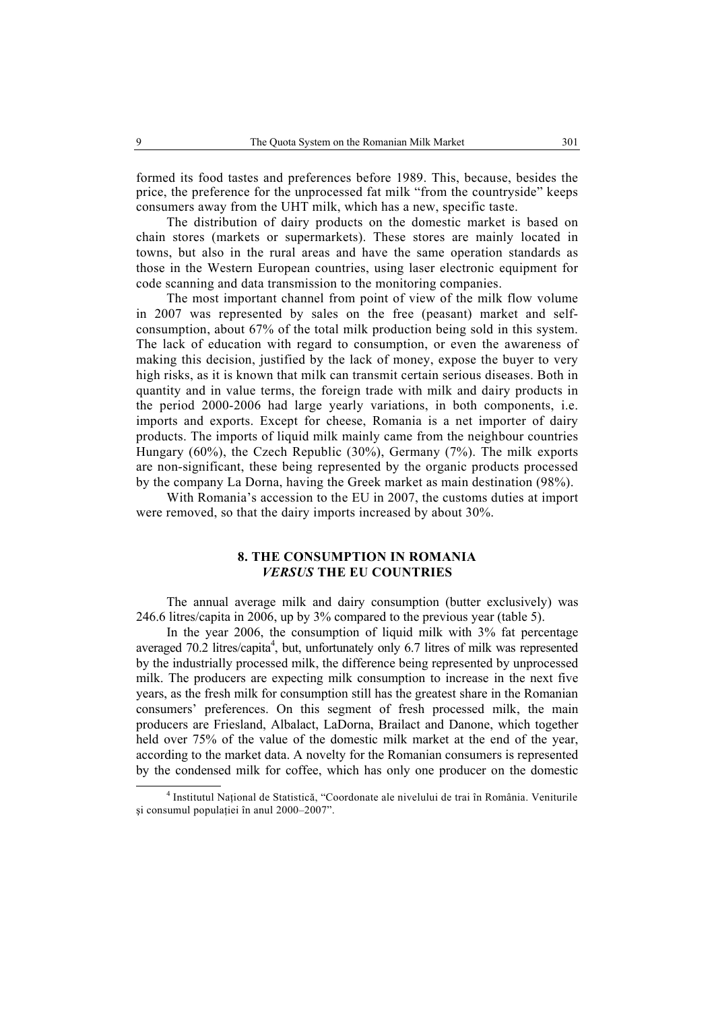formed its food tastes and preferences before 1989. This, because, besides the price, the preference for the unprocessed fat milk "from the countryside" keeps consumers away from the UHT milk, which has a new, specific taste.

The distribution of dairy products on the domestic market is based on chain stores (markets or supermarkets). These stores are mainly located in towns, but also in the rural areas and have the same operation standards as those in the Western European countries, using laser electronic equipment for code scanning and data transmission to the monitoring companies.

The most important channel from point of view of the milk flow volume in 2007 was represented by sales on the free (peasant) market and selfconsumption, about 67% of the total milk production being sold in this system. The lack of education with regard to consumption, or even the awareness of making this decision, justified by the lack of money, expose the buyer to very high risks, as it is known that milk can transmit certain serious diseases. Both in quantity and in value terms, the foreign trade with milk and dairy products in the period 2000-2006 had large yearly variations, in both components, i.e. imports and exports. Except for cheese, Romania is a net importer of dairy products. The imports of liquid milk mainly came from the neighbour countries Hungary (60%), the Czech Republic (30%), Germany (7%). The milk exports are non-significant, these being represented by the organic products processed by the company La Dorna, having the Greek market as main destination (98%).

With Romania's accession to the EU in 2007, the customs duties at import were removed, so that the dairy imports increased by about 30%.

## **8. THE CONSUMPTION IN ROMANIA**  *VERSUS* **THE EU COUNTRIES**

The annual average milk and dairy consumption (butter exclusively) was 246.6 litres/capita in 2006, up by 3% compared to the previous year (table 5).

In the year 2006, the consumption of liquid milk with 3% fat percentage averaged 70.2 litres/capita<sup>4</sup>, but, unfortunately only 6.7 litres of milk was represented by the industrially processed milk, the difference being represented by unprocessed milk. The producers are expecting milk consumption to increase in the next five years, as the fresh milk for consumption still has the greatest share in the Romanian consumers' preferences. On this segment of fresh processed milk, the main producers are Friesland, Albalact, LaDorna, Brailact and Danone, which together held over 75% of the value of the domestic milk market at the end of the year, according to the market data. A novelty for the Romanian consumers is represented by the condensed milk for coffee, which has only one producer on the domestic

 $\overline{a}$ <sup>4</sup> Institutul Național de Statistică, "Coordonate ale nivelului de trai în România. Veniturile şi consumul populaţiei în anul 2000–2007".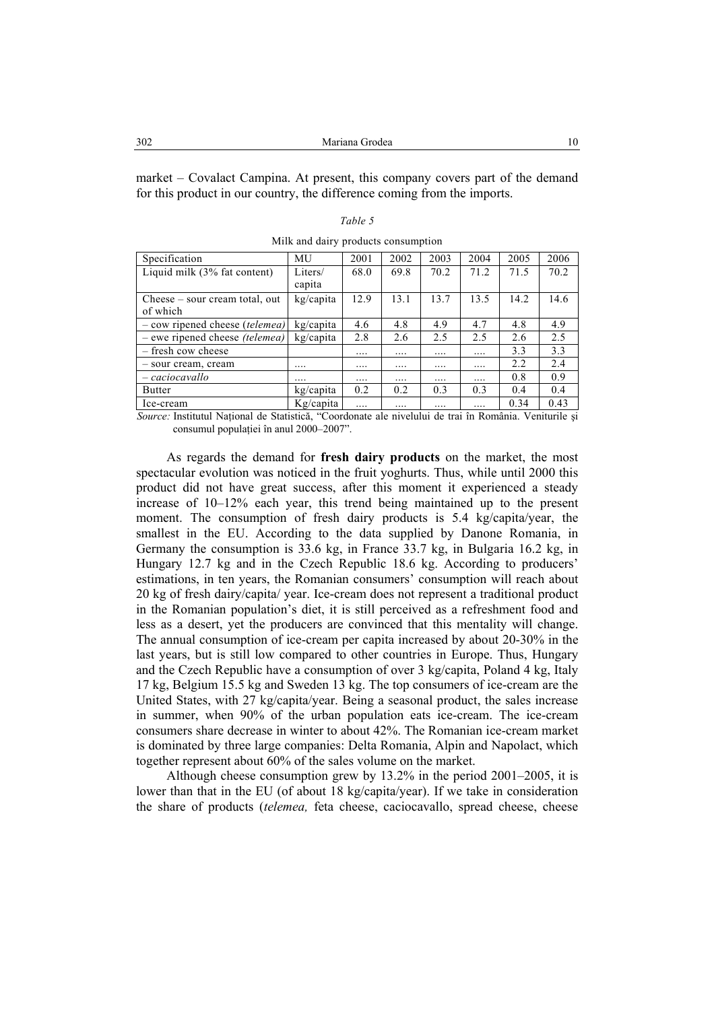market – Covalact Campina. At present, this company covers part of the demand for this product in our country, the difference coming from the imports.

| Specification                           | MU           | 2001 | 2002     | 2003     | 2004     | 2005 | 2006 |  |
|-----------------------------------------|--------------|------|----------|----------|----------|------|------|--|
| Liquid milk (3% fat content)            | Liters/      | 68.0 | 69.8     | 70.2     | 71.2     | 71.5 | 70.2 |  |
|                                         | capita       |      |          |          |          |      |      |  |
| $\alpha$ Cheese – sour cream total, out | kg/capita    | 12.9 | 13.1     | 13.7     | 13.5     | 14.2 | 14.6 |  |
| of which                                |              |      |          |          |          |      |      |  |
| $-$ cow ripened cheese (telemea)        | kg/capita    | 4.6  | 4.8      | 4.9      | 4.7      | 4.8  | 4.9  |  |
| $-$ ewe ripened cheese <i>(telemea)</i> | kg/capita    | 2.8  | 2.6      | 2.5      | 2.5      | 2.6  | 2.5  |  |
| - fresh cow cheese                      |              | .    |          | .        | $\cdots$ | 3.3  | 3.3  |  |
| - sour cream, cream                     |              |      | $\cdots$ | $\cdots$ |          | 2.2  | 2.4  |  |
| - caciocavallo                          | .            |      | $\cdots$ | $\cdots$ | $\cdots$ | 0.8  | 0.9  |  |
| <b>Butter</b>                           | kg/capita    | 0.2  | 0.2      | 0.3      | 0.3      | 0.4  | 0.4  |  |
| Ice-cream                               | $Kg/c$ apita |      | .        |          | .        | 0.34 | 0.43 |  |

*Table 5*  Milk and dairy products consumption

*Source:* Institutul National de Statistică, "Coordonate ale nivelului de trai în România. Veniturile și consumul populaţiei în anul 2000–2007".

As regards the demand for **fresh dairy products** on the market, the most spectacular evolution was noticed in the fruit yoghurts. Thus, while until 2000 this product did not have great success, after this moment it experienced a steady increase of 10–12% each year, this trend being maintained up to the present moment. The consumption of fresh dairy products is 5.4 kg/capita/year, the smallest in the EU. According to the data supplied by Danone Romania, in Germany the consumption is 33.6 kg, in France 33.7 kg, in Bulgaria 16.2 kg, in Hungary 12.7 kg and in the Czech Republic 18.6 kg. According to producers' estimations, in ten years, the Romanian consumers' consumption will reach about 20 kg of fresh dairy/capita/ year. Ice-cream does not represent a traditional product in the Romanian population's diet, it is still perceived as a refreshment food and less as a desert, yet the producers are convinced that this mentality will change. The annual consumption of ice-cream per capita increased by about 20-30% in the last years, but is still low compared to other countries in Europe. Thus, Hungary and the Czech Republic have a consumption of over 3 kg/capita, Poland 4 kg, Italy 17 kg, Belgium 15.5 kg and Sweden 13 kg. The top consumers of ice-cream are the United States, with 27 kg/capita/year. Being a seasonal product, the sales increase in summer, when 90% of the urban population eats ice-cream. The ice-cream consumers share decrease in winter to about 42%. The Romanian ice-cream market is dominated by three large companies: Delta Romania, Alpin and Napolact, which together represent about 60% of the sales volume on the market.

Although cheese consumption grew by 13.2% in the period 2001–2005, it is lower than that in the EU (of about 18 kg/capita/year). If we take in consideration the share of products (*telemea,* feta cheese, caciocavallo, spread cheese, cheese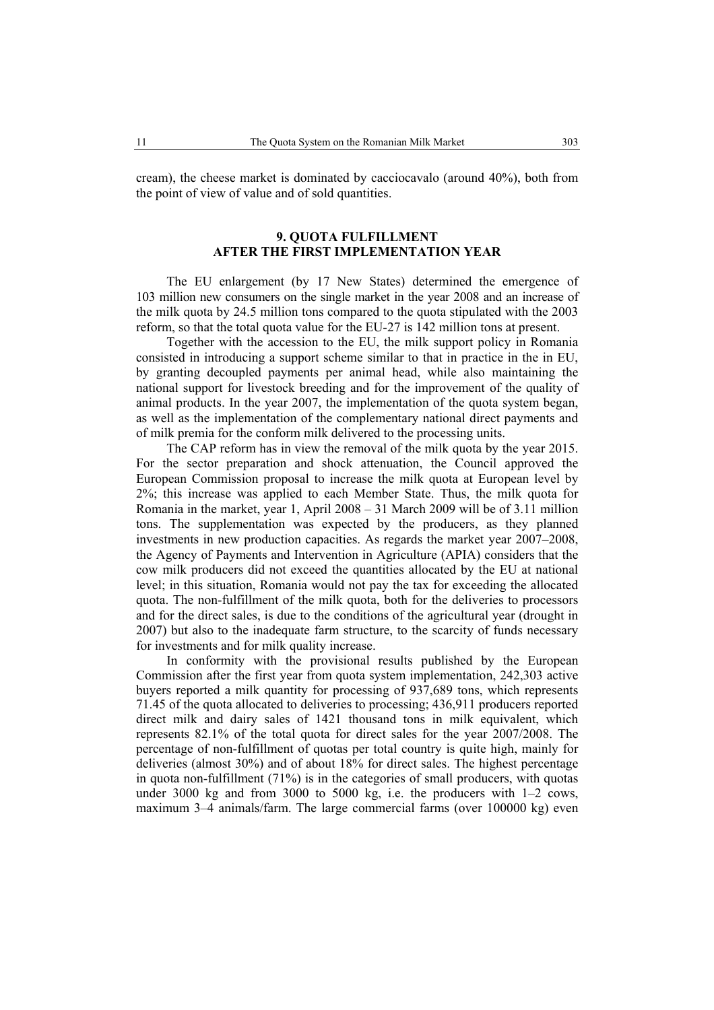cream), the cheese market is dominated by cacciocavalo (around 40%), both from the point of view of value and of sold quantities.

## **9. QUOTA FULFILLMENT AFTER THE FIRST IMPLEMENTATION YEAR**

The EU enlargement (by 17 New States) determined the emergence of 103 million new consumers on the single market in the year 2008 and an increase of the milk quota by 24.5 million tons compared to the quota stipulated with the 2003 reform, so that the total quota value for the EU-27 is 142 million tons at present.

Together with the accession to the EU, the milk support policy in Romania consisted in introducing a support scheme similar to that in practice in the in EU, by granting decoupled payments per animal head, while also maintaining the national support for livestock breeding and for the improvement of the quality of animal products. In the year 2007, the implementation of the quota system began, as well as the implementation of the complementary national direct payments and of milk premia for the conform milk delivered to the processing units.

The CAP reform has in view the removal of the milk quota by the year 2015. For the sector preparation and shock attenuation, the Council approved the European Commission proposal to increase the milk quota at European level by 2%; this increase was applied to each Member State. Thus, the milk quota for Romania in the market, year 1, April 2008 – 31 March 2009 will be of 3.11 million tons. The supplementation was expected by the producers, as they planned investments in new production capacities. As regards the market year 2007–2008, the Agency of Payments and Intervention in Agriculture (APIA) considers that the cow milk producers did not exceed the quantities allocated by the EU at national level; in this situation, Romania would not pay the tax for exceeding the allocated quota. The non-fulfillment of the milk quota, both for the deliveries to processors and for the direct sales, is due to the conditions of the agricultural year (drought in 2007) but also to the inadequate farm structure, to the scarcity of funds necessary for investments and for milk quality increase.

In conformity with the provisional results published by the European Commission after the first year from quota system implementation, 242,303 active buyers reported a milk quantity for processing of 937,689 tons, which represents 71.45 of the quota allocated to deliveries to processing; 436,911 producers reported direct milk and dairy sales of 1421 thousand tons in milk equivalent, which represents 82.1% of the total quota for direct sales for the year 2007/2008. The percentage of non-fulfillment of quotas per total country is quite high, mainly for deliveries (almost 30%) and of about 18% for direct sales. The highest percentage in quota non-fulfillment (71%) is in the categories of small producers, with quotas under 3000 kg and from 3000 to 5000 kg, i.e. the producers with 1–2 cows, maximum 3–4 animals/farm. The large commercial farms (over 100000 kg) even